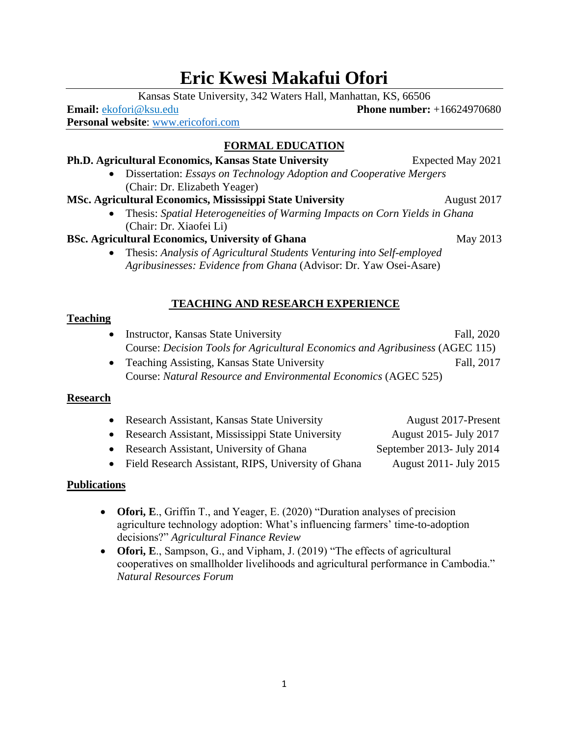# **Eric Kwesi Makafui Ofori**

Kansas State University, 342 Waters Hall, Manhattan, KS, 66506

**Email:** ekofori@ksu.edu **Phone number:** +16624970680 **Personal website**: [www.ericofori.com](http://www.ericofori.com/)

## **FORMAL EDUCATION**

#### **Ph.D. Agricultural Economics, Kansas State University <b>Expected May 2021** • Dissertation: *Essays on Technology Adoption and Cooperative Mergers* (Chair: Dr. Elizabeth Yeager) **MSc. Agricultural Economics, Mississippi State University August 2017** • Thesis: *Spatial Heterogeneities of Warming Impacts on Corn Yields in Ghana* (Chair: Dr. Xiaofei Li)

## **BSc. Agricultural Economics, University of Ghana** May 2013

• Thesis: *Analysis of Agricultural Students Venturing into Self-employed Agribusinesses: Evidence from Ghana* (Advisor: Dr. Yaw Osei-Asare)

## **TEACHING AND RESEARCH EXPERIENCE**

## **Teaching**

- Instructor, Kansas State University Fall, 2020 Course: *Decision Tools for Agricultural Economics and Agribusiness* (AGEC 115)
- Teaching Assisting, Kansas State University Fall, 2017 Course: *Natural Resource and Environmental Economics* (AGEC 525)

## **Research**

| • Research Assistant, Kansas State University         | August 2017-Present       |
|-------------------------------------------------------|---------------------------|
| • Research Assistant, Mississippi State University    | August 2015 - July 2017   |
| • Research Assistant, University of Ghana             | September 2013- July 2014 |
| • Field Research Assistant, RIPS, University of Ghana | August 2011 - July 2015   |

## **Publications**

- **Ofori, E**., Griffin T., and Yeager, E. (2020) "Duration analyses of precision agriculture technology adoption: What's influencing farmers' time-to-adoption decisions?" *Agricultural Finance Review*
- **Ofori, E**., Sampson, G., and Vipham, J. (2019) "The effects of agricultural cooperatives on smallholder livelihoods and agricultural performance in Cambodia." *Natural Resources Forum*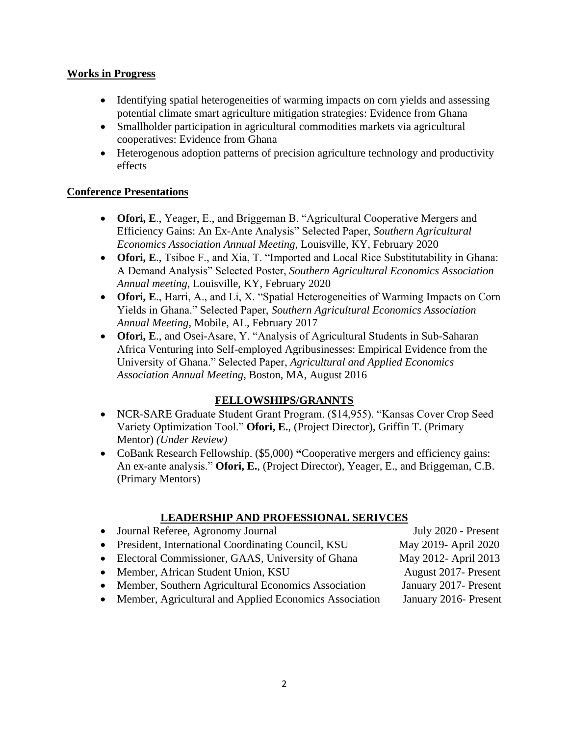#### **Works in Progress**

- Identifying spatial heterogeneities of warming impacts on corn yields and assessing potential climate smart agriculture mitigation strategies: Evidence from Ghana
- Smallholder participation in agricultural commodities markets via agricultural cooperatives: Evidence from Ghana
- Heterogenous adoption patterns of precision agriculture technology and productivity effects

## **Conference Presentations**

- **Ofori, E**., Yeager, E., and Briggeman B. "Agricultural Cooperative Mergers and Efficiency Gains: An Ex-Ante Analysis" Selected Paper, *Southern Agricultural Economics Association Annual Meeting*, Louisville, KY, February 2020
- **Ofori, E**., Tsiboe F., and Xia, T. "Imported and Local Rice Substitutability in Ghana: A Demand Analysis" Selected Poster, *Southern Agricultural Economics Association Annual meeting*, Louisville, KY, February 2020
- **Ofori, E**., Harri, A., and Li, X. "Spatial Heterogeneities of Warming Impacts on Corn Yields in Ghana." Selected Paper, *Southern Agricultural Economics Association Annual Meeting*, Mobile, AL, February 2017
- **Ofori, E**., and Osei-Asare, Y. "Analysis of Agricultural Students in Sub-Saharan Africa Venturing into Self-employed Agribusinesses: Empirical Evidence from the University of Ghana." Selected Paper, *Agricultural and Applied Economics Association Annual Meeting*, Boston, MA, August 2016

## **FELLOWSHIPS/GRANNTS**

- NCR-SARE Graduate Student Grant Program. (\$14,955). "Kansas Cover Crop Seed Variety Optimization Tool." **Ofori, E.**, (Project Director), Griffin T. (Primary Mentor) *(Under Review)*
- CoBank Research Fellowship. (\$5,000) **"**Cooperative mergers and efficiency gains: An ex-ante analysis." **Ofori, E.**, (Project Director), Yeager, E., and Briggeman, C.B. (Primary Mentors)

## **LEADERSHIP AND PROFESSIONAL SERIVCES**

- Journal Referee, Agronomy Journal July 2020 Present
- President, International Coordinating Council, KSU May 2019- April 2020
- Electoral Commissioner, GAAS, University of Ghana May 2012- April 2013
- Member, African Student Union, KSU August 2017- Present
- Member, Southern Agricultural Economics Association January 2017- Present
- Member, Agricultural and Applied Economics Association January 2016-Present

- 
-